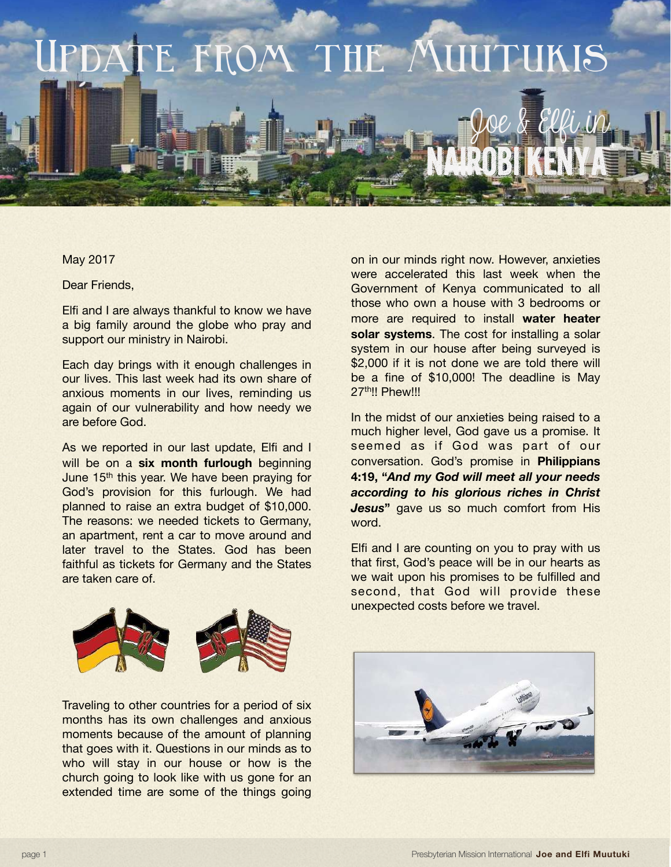

## May 2017

Dear Friends,

Elfi and I are always thankful to know we have a big family around the globe who pray and support our ministry in Nairobi.

Each day brings with it enough challenges in our lives. This last week had its own share of anxious moments in our lives, reminding us again of our vulnerability and how needy we are before God.

As we reported in our last update, Elfi and I will be on a **six month furlough** beginning June 15<sup>th</sup> this year. We have been praying for God's provision for this furlough. We had planned to raise an extra budget of \$10,000. The reasons: we needed tickets to Germany, an apartment, rent a car to move around and later travel to the States. God has been faithful as tickets for Germany and the States are taken care of.

on in our minds right now. However, anxieties were accelerated this last week when the Government of Kenya communicated to all those who own a house with 3 bedrooms or more are required to install **water heater solar systems**. The cost for installing a solar system in our house after being surveyed is \$2,000 if it is not done we are told there will be a fine of \$10,000! The deadline is May 27<sup>th</sup>!! Phew!!!

In the midst of our anxieties being raised to a much higher level, God gave us a promise. It seemed as if God was part of our conversation. God's promise in **Philippians 4:19, "***And my God will meet all your needs according to his glorious riches in Christ Jesus* aave us so much comfort from His word.

Elfi and I are counting on you to pray with us that first, God's peace will be in our hearts as we wait upon his promises to be fulfilled and second, that God will provide these unexpected costs before we travel.



Traveling to other countries for a period of six months has its own challenges and anxious moments because of the amount of planning that goes with it. Questions in our minds as to who will stay in our house or how is the church going to look like with us gone for an extended time are some of the things going